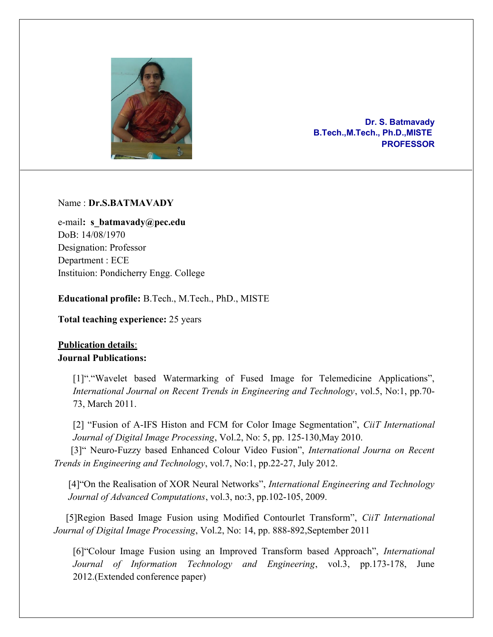

Dr. S. Batmavady B.Tech.,M.Tech., Ph.D.,MISTE PROFESSOR

## Name : Dr.S.BATMAVADY

e-mail: s batmavady@pec.edu DoB: 14/08/1970 Designation: Professor Department : ECE Instituion: Pondicherry Engg. College

Educational profile: B.Tech., M.Tech., PhD., MISTE

Total teaching experience: 25 years

# Publication details: Journal Publications:

[1]". "Wavelet based Watermarking of Fused Image for Telemedicine Applications", International Journal on Recent Trends in Engineering and Technology, vol.5, No:1, pp.70- 73, March 2011.

[2] "Fusion of A-IFS Histon and FCM for Color Image Segmentation", CiiT International Journal of Digital Image Processing, Vol.2, No: 5, pp. 125-130,May 2010.

[3]" Neuro-Fuzzy based Enhanced Colour Video Fusion", International Journa on Recent Trends in Engineering and Technology, vol.7, No:1, pp.22-27, July 2012.

[4] "On the Realisation of XOR Neural Networks", International Engineering and Technology Journal of Advanced Computations, vol.3, no:3, pp.102-105, 2009.

 [5]Region Based Image Fusion using Modified Contourlet Transform", CiiT International Journal of Digital Image Processing, Vol.2, No: 14, pp. 888-892,September 2011

[6]"Colour Image Fusion using an Improved Transform based Approach", International Journal of Information Technology and Engineering, vol.3, pp.173-178, June 2012.(Extended conference paper)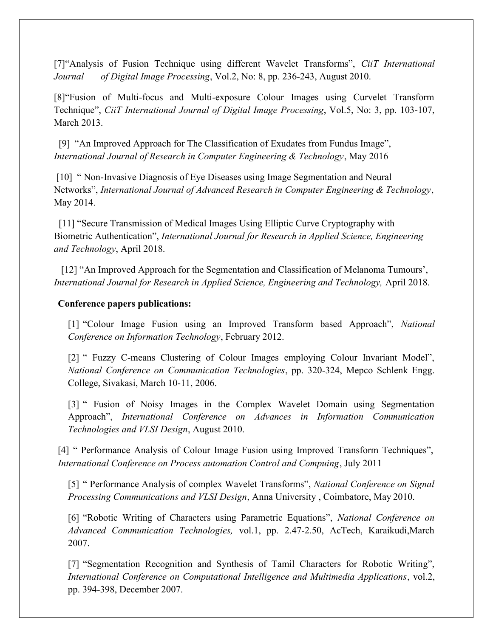[7] "Analysis of Fusion Technique using different Wavelet Transforms", *CiiT International* Journal of Digital Image Processing, Vol.2, No: 8, pp. 236-243, August 2010.

[8]"Fusion of Multi-focus and Multi-exposure Colour Images using Curvelet Transform Technique", CiiT International Journal of Digital Image Processing, Vol.5, No: 3, pp. 103-107, March 2013.

 [9] "An Improved Approach for The Classification of Exudates from Fundus Image", International Journal of Research in Computer Engineering & Technology, May 2016

 [10] " Non-Invasive Diagnosis of Eye Diseases using Image Segmentation and Neural Networks", International Journal of Advanced Research in Computer Engineering & Technology, May 2014.

 [11] "Secure Transmission of Medical Images Using Elliptic Curve Cryptography with Biometric Authentication", International Journal for Research in Applied Science, Engineering and Technology, April 2018.

 [12] "An Improved Approach for the Segmentation and Classification of Melanoma Tumours', International Journal for Research in Applied Science, Engineering and Technology, April 2018.

#### Conference papers publications:

[1] "Colour Image Fusion using an Improved Transform based Approach", National Conference on Information Technology, February 2012.

[2] " Fuzzy C-means Clustering of Colour Images employing Colour Invariant Model", National Conference on Communication Technologies, pp. 320-324, Mepco Schlenk Engg. College, Sivakasi, March 10-11, 2006.

[3] " Fusion of Noisy Images in the Complex Wavelet Domain using Segmentation Approach", International Conference on Advances in Information Communication Technologies and VLSI Design, August 2010.

[4] " Performance Analysis of Colour Image Fusion using Improved Transform Techniques", International Conference on Process automation Control and Compuing, July 2011

[5] " Performance Analysis of complex Wavelet Transforms", National Conference on Signal Processing Communications and VLSI Design, Anna University , Coimbatore, May 2010.

[6] "Robotic Writing of Characters using Parametric Equations", National Conference on Advanced Communication Technologies, vol.1, pp. 2.47-2.50, AcTech, Karaikudi,March 2007.

[7] "Segmentation Recognition and Synthesis of Tamil Characters for Robotic Writing", International Conference on Computational Intelligence and Multimedia Applications, vol.2, pp. 394-398, December 2007.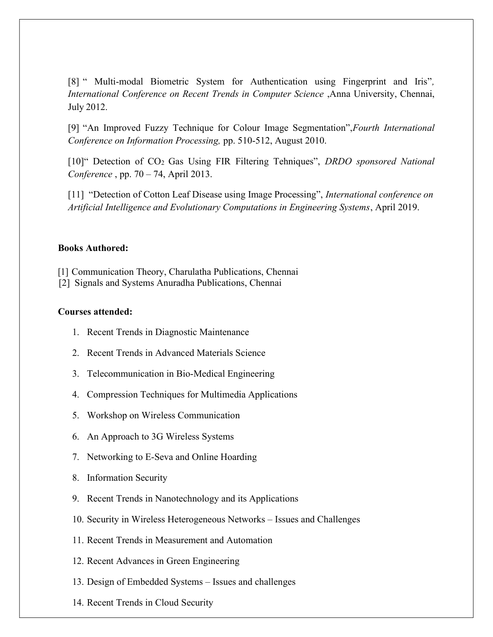[8] " Multi-modal Biometric System for Authentication using Fingerprint and Iris", International Conference on Recent Trends in Computer Science ,Anna University, Chennai, July 2012.

[9] "An Improved Fuzzy Technique for Colour Image Segmentation",Fourth International Conference on Information Processing, pp. 510-512, August 2010.

[10]" Detection of CO<sub>2</sub> Gas Using FIR Filtering Tehniques", DRDO sponsored National Conference , pp. 70 – 74, April 2013.

[11] "Detection of Cotton Leaf Disease using Image Processing", International conference on Artificial Intelligence and Evolutionary Computations in Engineering Systems, April 2019.

## Books Authored:

[1] Communication Theory, Charulatha Publications, Chennai

[2] Signals and Systems Anuradha Publications, Chennai

#### Courses attended:

- 1. Recent Trends in Diagnostic Maintenance
- 2. Recent Trends in Advanced Materials Science
- 3. Telecommunication in Bio-Medical Engineering
- 4. Compression Techniques for Multimedia Applications
- 5. Workshop on Wireless Communication
- 6. An Approach to 3G Wireless Systems
- 7. Networking to E-Seva and Online Hoarding
- 8. Information Security
- 9. Recent Trends in Nanotechnology and its Applications
- 10. Security in Wireless Heterogeneous Networks Issues and Challenges
- 11. Recent Trends in Measurement and Automation
- 12. Recent Advances in Green Engineering
- 13. Design of Embedded Systems Issues and challenges
- 14. Recent Trends in Cloud Security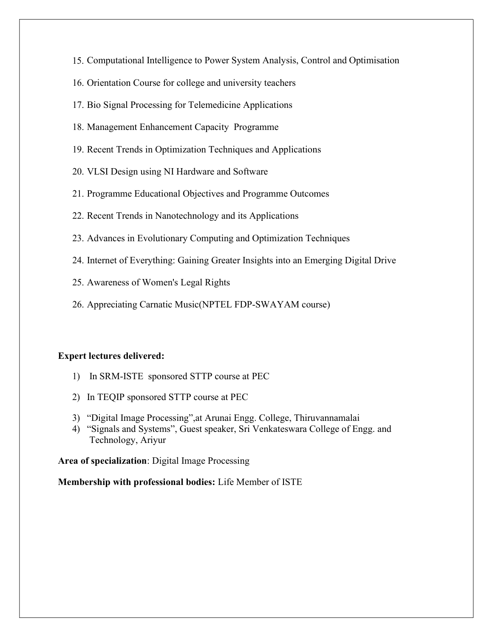- 15. Computational Intelligence to Power System Analysis, Control and Optimisation
- 16. Orientation Course for college and university teachers
- 17. Bio Signal Processing for Telemedicine Applications
- 18. Management Enhancement Capacity Programme
- 19. Recent Trends in Optimization Techniques and Applications
- 20. VLSI Design using NI Hardware and Software
- 21. Programme Educational Objectives and Programme Outcomes
- 22. Recent Trends in Nanotechnology and its Applications
- 23. Advances in Evolutionary Computing and Optimization Techniques
- 24. Internet of Everything: Gaining Greater Insights into an Emerging Digital Drive
- 25. Awareness of Women's Legal Rights
- 26. Appreciating Carnatic Music(NPTEL FDP-SWAYAM course)

#### Expert lectures delivered:

- 1) In SRM-ISTE sponsored STTP course at PEC
- 2) In TEQIP sponsored STTP course at PEC
- 3) "Digital Image Processing",at Arunai Engg. College, Thiruvannamalai
- 4) "Signals and Systems", Guest speaker, Sri Venkateswara College of Engg. and Technology, Ariyur

Area of specialization: Digital Image Processing

Membership with professional bodies: Life Member of ISTE